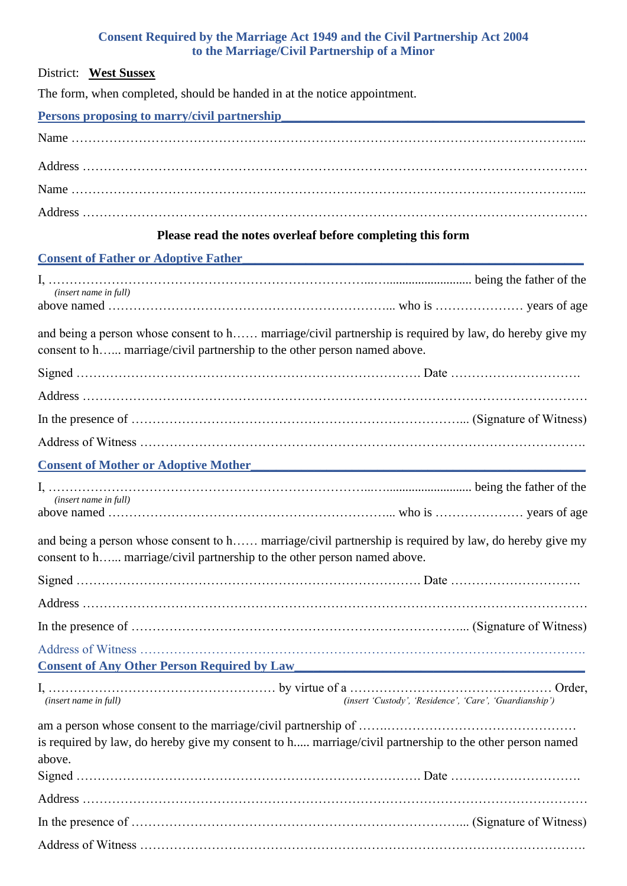## **Consent Required by the Marriage Act 1949 and the Civil Partnership Act 2004 to the Marriage/Civil Partnership of a Minor**

| Consent Required by the marriage Act 1949 and the Cryli I at the ship Act 2004<br>to the Marriage/Civil Partnership of a Minor                                                     |
|------------------------------------------------------------------------------------------------------------------------------------------------------------------------------------|
| District: West Sussex                                                                                                                                                              |
| The form, when completed, should be handed in at the notice appointment.                                                                                                           |
| <b>Persons proposing to marry/civil partnership</b><br><u> 1980 - Jan Barbara, manazarta bashkar (h. 1980).</u>                                                                    |
|                                                                                                                                                                                    |
|                                                                                                                                                                                    |
|                                                                                                                                                                                    |
|                                                                                                                                                                                    |
| Please read the notes overleaf before completing this form                                                                                                                         |
| <b>Consent of Father or Adoptive Father</b> 1983 and 1984 and 1988 and 1988 and 1988 and 1988 and 1988 and 1988 and 19                                                             |
|                                                                                                                                                                                    |
| (insert name in full)                                                                                                                                                              |
| and being a person whose consent to h marriage/civil partnership is required by law, do hereby give my<br>consent to h marriage/civil partnership to the other person named above. |
|                                                                                                                                                                                    |
|                                                                                                                                                                                    |
|                                                                                                                                                                                    |
|                                                                                                                                                                                    |
| <b>Consent of Mother or Adoptive Mother</b>                                                                                                                                        |
|                                                                                                                                                                                    |
| (insert name in full)                                                                                                                                                              |
| and being a person whose consent to h marriage/civil partnership is required by law, do hereby give my<br>consent to h marriage/civil partnership to the other person named above. |
|                                                                                                                                                                                    |
|                                                                                                                                                                                    |
|                                                                                                                                                                                    |
| <b>Consent of Any Other Person Required by Law Consent of Any Other Person Required by Law</b>                                                                                     |
| (insert 'Custody', 'Residence', 'Care', 'Guardianship')<br><i>(insert name in full)</i>                                                                                            |
| is required by law, do hereby give my consent to h marriage/civil partnership to the other person named<br>above.                                                                  |
|                                                                                                                                                                                    |
|                                                                                                                                                                                    |
|                                                                                                                                                                                    |